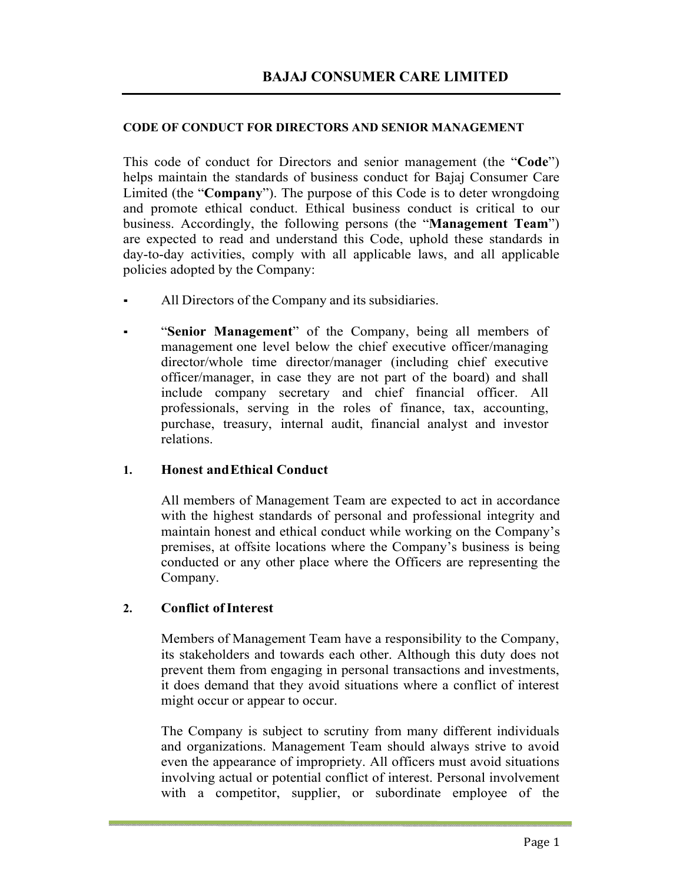#### **CODE OF CONDUCT FOR DIRECTORS AND SENIOR MANAGEMENT**

This code of conduct for Directors and senior management (the "**Code**") helps maintain the standards of business conduct for Bajaj Consumer Care Limited (the "**Company**"). The purpose of this Code is to deter wrongdoing and promote ethical conduct. Ethical business conduct is critical to our business. Accordingly, the following persons (the "**Management Team**") are expected to read and understand this Code, uphold these standards in day-to-day activities, comply with all applicable laws, and all applicable policies adopted by the Company:

- All Directors of the Company and its subsidiaries.
- "Senior Management" of the Company, being all members of management one level below the chief executive officer/managing director/whole time director/manager (including chief executive officer/manager, in case they are not part of the board) and shall include company secretary and chief financial officer. All professionals, serving in the roles of finance, tax, accounting, purchase, treasury, internal audit, financial analyst and investor relations.

#### **1. Honest and Ethical Conduct**

All members of Management Team are expected to act in accordance with the highest standards of personal and professional integrity and maintain honest and ethical conduct while working on the Company's premises, at offsite locations where the Company's business is being conducted or any other place where the Officers are representing the Company.

#### **2. Conflict of Interest**

Members of Management Team have a responsibility to the Company, its stakeholders and towards each other. Although this duty does not prevent them from engaging in personal transactions and investments, it does demand that they avoid situations where a conflict of interest might occur or appear to occur.

The Company is subject to scrutiny from many different individuals and organizations. Management Team should always strive to avoid even the appearance of impropriety. All officers must avoid situations involving actual or potential conflict of interest. Personal involvement with a competitor, supplier, or subordinate employee of the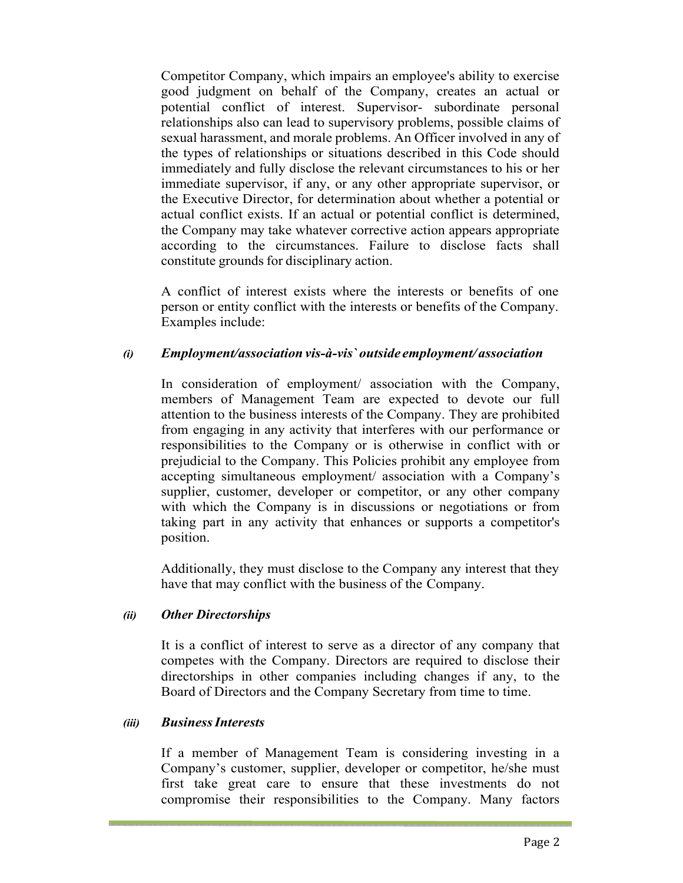Competitor Company, which impairs an employee's ability to exercise good judgment on behalf of the Company, creates an actual or potential conflict of interest. Supervisor- subordinate personal relationships also can lead to supervisory problems, possible claims of sexual harassment, and morale problems. An Officer involved in any of the types of relationships or situations described in this Code should immediately and fully disclose the relevant circumstances to his or her immediate supervisor, if any, or any other appropriate supervisor, or the Executive Director, for determination about whether a potential or actual conflict exists. If an actual or potential conflict is determined, the Company may take whatever corrective action appears appropriate according to the circumstances. Failure to disclose facts shall constitute grounds for disciplinary action.

A conflict of interest exists where the interests or benefits of one person or entity conflict with the interests or benefits of the Company. Examples include:

#### *(i) Employment/association vis-à-vis` outside employment/ association*

In consideration of employment/ association with the Company, members of Management Team are expected to devote our full attention to the business interests of the Company. They are prohibited from engaging in any activity that interferes with our performance or responsibilities to the Company or is otherwise in conflict with or prejudicial to the Company. This Policies prohibit any employee from accepting simultaneous employment/ association with a Company's supplier, customer, developer or competitor, or any other company with which the Company is in discussions or negotiations or from taking part in any activity that enhances or supports a competitor's position.

Additionally, they must disclose to the Company any interest that they have that may conflict with the business of the Company.

#### *(ii) Other Directorships*

It is a conflict of interest to serve as a director of any company that competes with the Company. Directors are required to disclose their directorships in other companies including changes if any, to the Board of Directors and the Company Secretary from time to time.

#### *(iii) Business Interests*

If a member of Management Team is considering investing in a Company's customer, supplier, developer or competitor, he/she must first take great care to ensure that these investments do not compromise their responsibilities to the Company. Many factors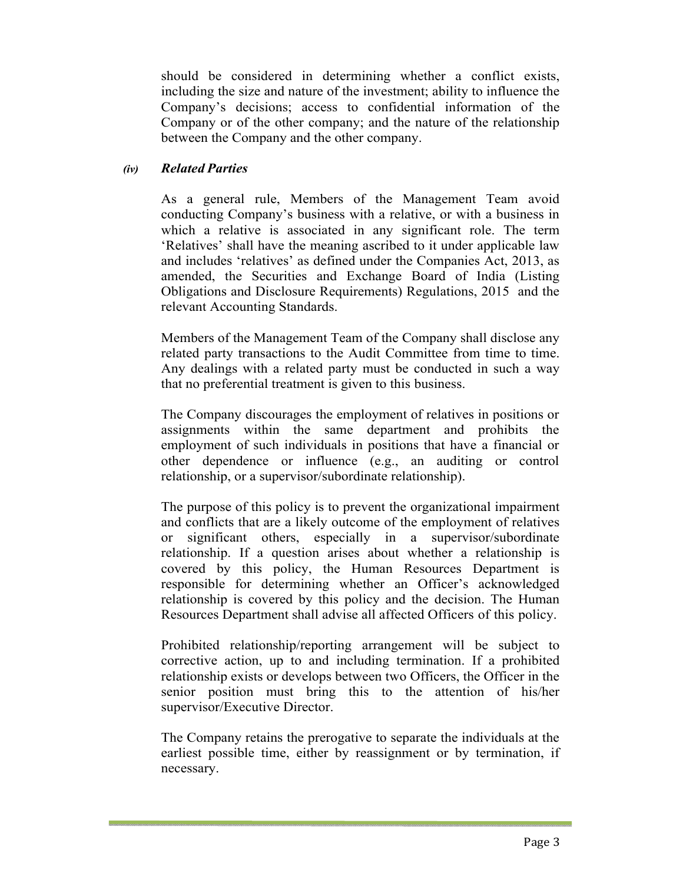should be considered in determining whether a conflict exists, including the size and nature of the investment; ability to influence the Company's decisions; access to confidential information of the Company or of the other company; and the nature of the relationship between the Company and the other company.

#### *(iv) Related Parties*

As a general rule, Members of the Management Team avoid conducting Company's business with a relative, or with a business in which a relative is associated in any significant role. The term 'Relatives' shall have the meaning ascribed to it under applicable law and includes 'relatives' as defined under the Companies Act, 2013, as amended, the Securities and Exchange Board of India (Listing Obligations and Disclosure Requirements) Regulations, 2015 and the relevant Accounting Standards.

Members of the Management Team of the Company shall disclose any related party transactions to the Audit Committee from time to time. Any dealings with a related party must be conducted in such a way that no preferential treatment is given to this business.

The Company discourages the employment of relatives in positions or assignments within the same department and prohibits the employment of such individuals in positions that have a financial or other dependence or influence (e.g., an auditing or control relationship, or a supervisor/subordinate relationship).

The purpose of this policy is to prevent the organizational impairment and conflicts that are a likely outcome of the employment of relatives or significant others, especially in a supervisor/subordinate relationship. If a question arises about whether a relationship is covered by this policy, the Human Resources Department is responsible for determining whether an Officer's acknowledged relationship is covered by this policy and the decision. The Human Resources Department shall advise all affected Officers of this policy.

Prohibited relationship/reporting arrangement will be subject to corrective action, up to and including termination. If a prohibited relationship exists or develops between two Officers, the Officer in the senior position must bring this to the attention of his/her supervisor/Executive Director.

The Company retains the prerogative to separate the individuals at the earliest possible time, either by reassignment or by termination, if necessary.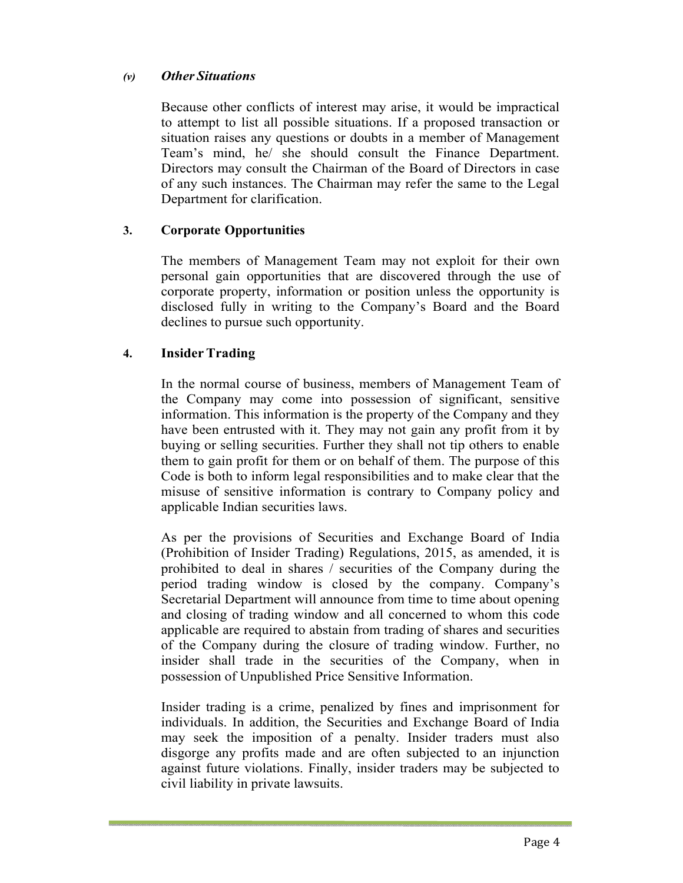## *(v) Other Situations*

Because other conflicts of interest may arise, it would be impractical to attempt to list all possible situations. If a proposed transaction or situation raises any questions or doubts in a member of Management Team's mind, he/ she should consult the Finance Department. Directors may consult the Chairman of the Board of Directors in case of any such instances. The Chairman may refer the same to the Legal Department for clarification.

# **3. Corporate Opportunities**

The members of Management Team may not exploit for their own personal gain opportunities that are discovered through the use of corporate property, information or position unless the opportunity is disclosed fully in writing to the Company's Board and the Board declines to pursue such opportunity.

## **4. Insider Trading**

In the normal course of business, members of Management Team of the Company may come into possession of significant, sensitive information. This information is the property of the Company and they have been entrusted with it. They may not gain any profit from it by buying or selling securities. Further they shall not tip others to enable them to gain profit for them or on behalf of them. The purpose of this Code is both to inform legal responsibilities and to make clear that the misuse of sensitive information is contrary to Company policy and applicable Indian securities laws.

As per the provisions of Securities and Exchange Board of India (Prohibition of Insider Trading) Regulations, 2015, as amended, it is prohibited to deal in shares / securities of the Company during the period trading window is closed by the company. Company's Secretarial Department will announce from time to time about opening and closing of trading window and all concerned to whom this code applicable are required to abstain from trading of shares and securities of the Company during the closure of trading window. Further, no insider shall trade in the securities of the Company, when in possession of Unpublished Price Sensitive Information.

Insider trading is a crime, penalized by fines and imprisonment for individuals. In addition, the Securities and Exchange Board of India may seek the imposition of a penalty. Insider traders must also disgorge any profits made and are often subjected to an injunction against future violations. Finally, insider traders may be subjected to civil liability in private lawsuits.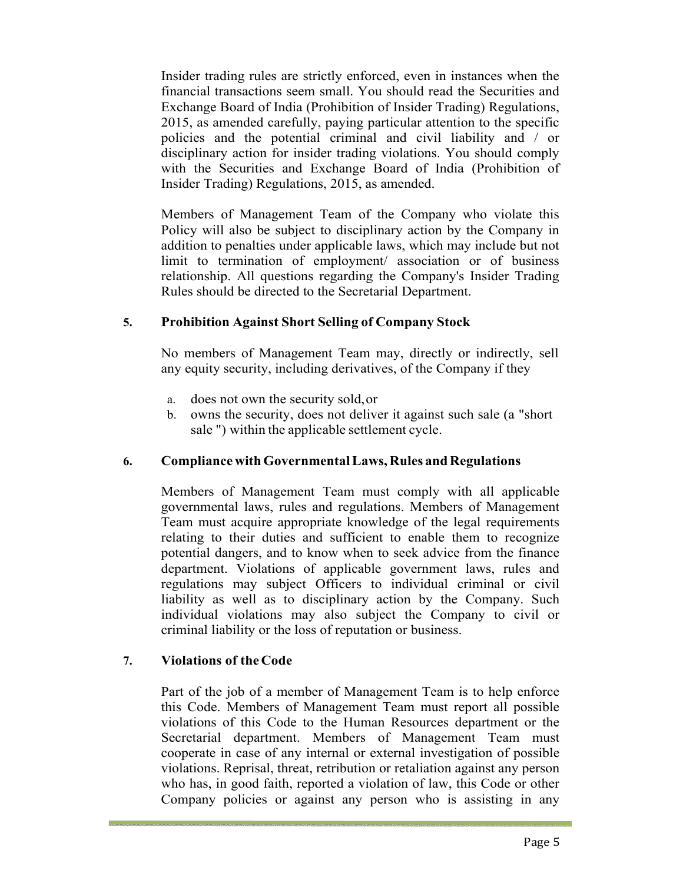Insider trading rules are strictly enforced, even in instances when the financial transactions seem small. You should read the Securities and Exchange Board of India (Prohibition of Insider Trading) Regulations, 2015, as amended carefully, paying particular attention to the specific policies and the potential criminal and civil liability and / or disciplinary action for insider trading violations. You should comply with the Securities and Exchange Board of India (Prohibition of Insider Trading) Regulations, 2015, as amended.

Members of Management Team of the Company who violate this Policy will also be subject to disciplinary action by the Company in addition to penalties under applicable laws, which may include but not limit to termination of employment/ association or of business relationship. All questions regarding the Company's Insider Trading Rules should be directed to the Secretarial Department.

## **5. Prohibition Against Short Selling of Company Stock**

No members of Management Team may, directly or indirectly, sell any equity security, including derivatives, of the Company if they

- a. does not own the security sold, or
- b. owns the security, does not deliver it against such sale (a "short sale ") within the applicable settlement cycle.

## **6. Compliance with Governmental Laws, Rules and Regulations**

Members of Management Team must comply with all applicable governmental laws, rules and regulations. Members of Management Team must acquire appropriate knowledge of the legal requirements relating to their duties and sufficient to enable them to recognize potential dangers, and to know when to seek advice from the finance department. Violations of applicable government laws, rules and regulations may subject Officers to individual criminal or civil liability as well as to disciplinary action by the Company. Such individual violations may also subject the Company to civil or criminal liability or the loss of reputation or business.

## **7. Violations of the Code**

Part of the job of a member of Management Team is to help enforce this Code. Members of Management Team must report all possible violations of this Code to the Human Resources department or the Secretarial department. Members of Management Team must cooperate in case of any internal or external investigation of possible violations. Reprisal, threat, retribution or retaliation against any person who has, in good faith, reported a violation of law, this Code or other Company policies or against any person who is assisting in any